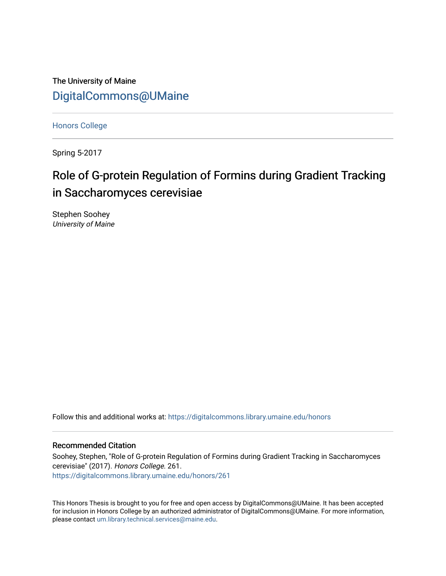The University of Maine [DigitalCommons@UMaine](https://digitalcommons.library.umaine.edu/)

[Honors College](https://digitalcommons.library.umaine.edu/honors)

Spring 5-2017

# Role of G-protein Regulation of Formins during Gradient Tracking in Saccharomyces cerevisiae

Stephen Soohey University of Maine

Follow this and additional works at: [https://digitalcommons.library.umaine.edu/honors](https://digitalcommons.library.umaine.edu/honors?utm_source=digitalcommons.library.umaine.edu%2Fhonors%2F261&utm_medium=PDF&utm_campaign=PDFCoverPages) 

#### Recommended Citation

Soohey, Stephen, "Role of G-protein Regulation of Formins during Gradient Tracking in Saccharomyces cerevisiae" (2017). Honors College. 261. [https://digitalcommons.library.umaine.edu/honors/261](https://digitalcommons.library.umaine.edu/honors/261?utm_source=digitalcommons.library.umaine.edu%2Fhonors%2F261&utm_medium=PDF&utm_campaign=PDFCoverPages) 

This Honors Thesis is brought to you for free and open access by DigitalCommons@UMaine. It has been accepted for inclusion in Honors College by an authorized administrator of DigitalCommons@UMaine. For more information, please contact [um.library.technical.services@maine.edu.](mailto:um.library.technical.services@maine.edu)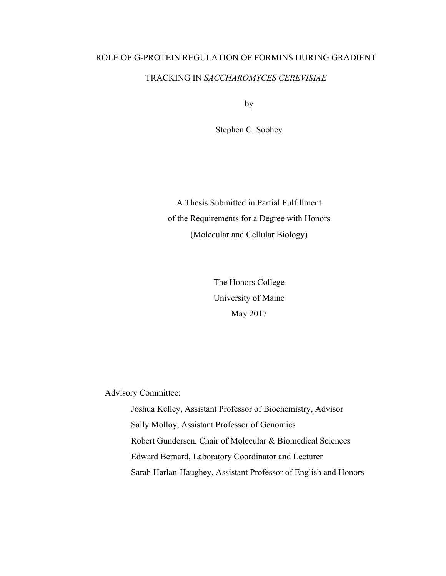# ROLE OF G-PROTEIN REGULATION OF FORMINS DURING GRADIENT TRACKING IN *SACCHAROMYCES CEREVISIAE*

by

Stephen C. Soohey

A Thesis Submitted in Partial Fulfillment of the Requirements for a Degree with Honors (Molecular and Cellular Biology)

> The Honors College University of Maine May 2017

Advisory Committee:

 Joshua Kelley, Assistant Professor of Biochemistry, Advisor Sally Molloy, Assistant Professor of Genomics Robert Gundersen, Chair of Molecular & Biomedical Sciences Edward Bernard, Laboratory Coordinator and Lecturer Sarah Harlan-Haughey, Assistant Professor of English and Honors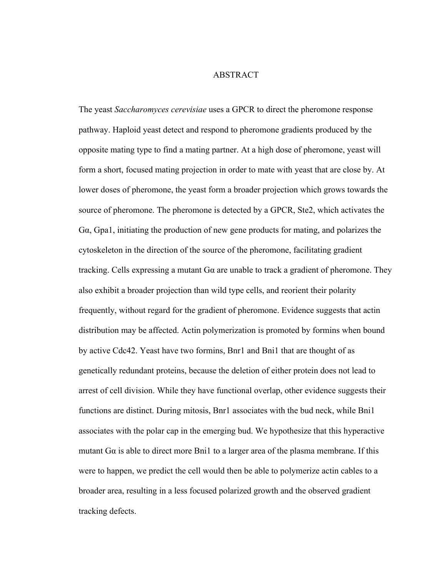#### ABSTRACT

The yeast *Saccharomyces cerevisiae* uses a GPCR to direct the pheromone response pathway. Haploid yeast detect and respond to pheromone gradients produced by the opposite mating type to find a mating partner. At a high dose of pheromone, yeast will form a short, focused mating projection in order to mate with yeast that are close by. At lower doses of pheromone, the yeast form a broader projection which grows towards the source of pheromone. The pheromone is detected by a GPCR, Ste2, which activates the Gα, Gpa1, initiating the production of new gene products for mating, and polarizes the cytoskeleton in the direction of the source of the pheromone, facilitating gradient tracking. Cells expressing a mutant Gα are unable to track a gradient of pheromone. They also exhibit a broader projection than wild type cells, and reorient their polarity frequently, without regard for the gradient of pheromone. Evidence suggests that actin distribution may be affected. Actin polymerization is promoted by formins when bound by active Cdc42. Yeast have two formins, Bnr1 and Bni1 that are thought of as genetically redundant proteins, because the deletion of either protein does not lead to arrest of cell division. While they have functional overlap, other evidence suggests their functions are distinct. During mitosis, Bnr1 associates with the bud neck, while Bni1 associates with the polar cap in the emerging bud. We hypothesize that this hyperactive mutant  $Ga$  is able to direct more Bni1 to a larger area of the plasma membrane. If this were to happen, we predict the cell would then be able to polymerize actin cables to a broader area, resulting in a less focused polarized growth and the observed gradient tracking defects.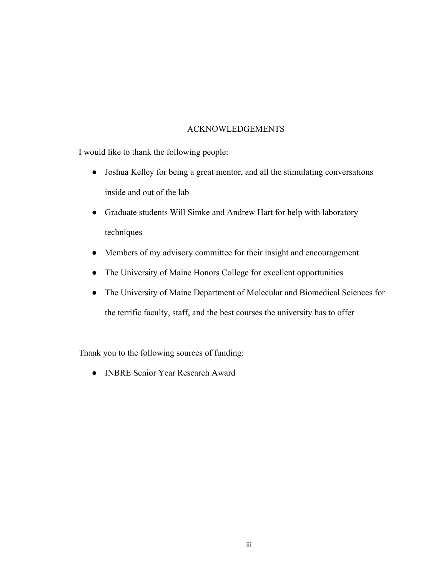# ACKNOWLEDGEMENTS

I would like to thank the following people:

- Joshua Kelley for being a great mentor, and all the stimulating conversations inside and out of the lab
- Graduate students Will Simke and Andrew Hart for help with laboratory techniques
- Members of my advisory committee for their insight and encouragement
- The University of Maine Honors College for excellent opportunities
- The University of Maine Department of Molecular and Biomedical Sciences for the terrific faculty, staff, and the best courses the university has to offer

Thank you to the following sources of funding:

● INBRE Senior Year Research Award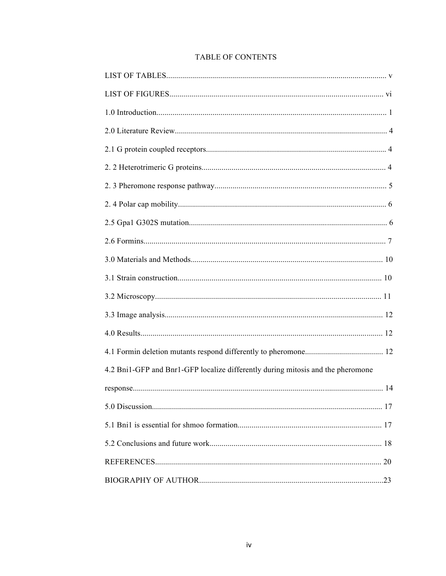# **TABLE OF CONTENTS**

| 4.2 Bni1-GFP and Bnr1-GFP localize differently during mitosis and the pheromone |  |
|---------------------------------------------------------------------------------|--|
|                                                                                 |  |
|                                                                                 |  |
|                                                                                 |  |
|                                                                                 |  |
|                                                                                 |  |
|                                                                                 |  |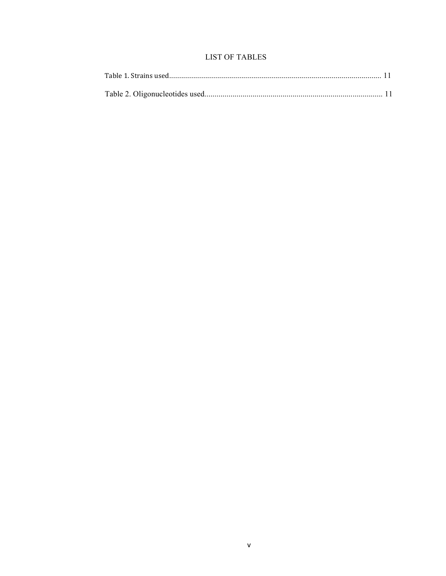# **LIST OF TABLES**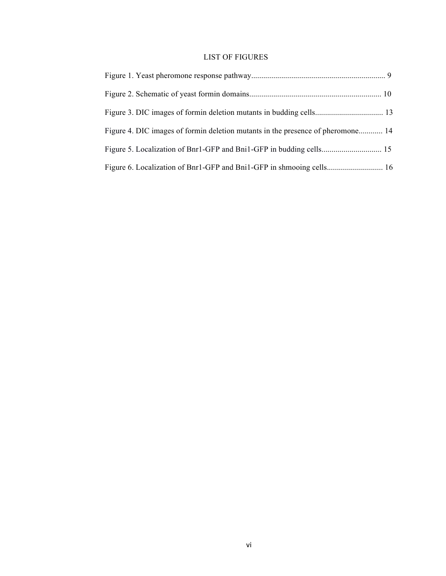# LIST OF FIGURES

| Figure 4. DIC images of formin deletion mutants in the presence of pheromone 14 |  |
|---------------------------------------------------------------------------------|--|
|                                                                                 |  |
|                                                                                 |  |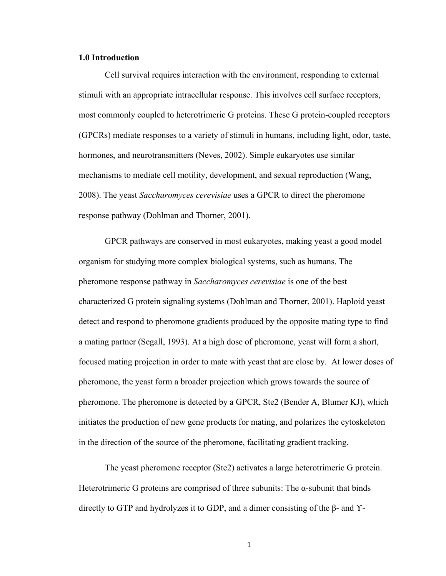## **1.0 Introduction**

Cell survival requires interaction with the environment, responding to external stimuli with an appropriate intracellular response. This involves cell surface receptors, most commonly coupled to heterotrimeric G proteins. These G protein-coupled receptors (GPCRs) mediate responses to a variety of stimuli in humans, including light, odor, taste, hormones, and neurotransmitters (Neves, 2002). Simple eukaryotes use similar mechanisms to mediate cell motility, development, and sexual reproduction (Wang, 2008). The yeast *Saccharomyces cerevisiae* uses a GPCR to direct the pheromone response pathway (Dohlman and Thorner, 2001).

GPCR pathways are conserved in most eukaryotes, making yeast a good model organism for studying more complex biological systems, such as humans. The pheromone response pathway in *Saccharomyces cerevisiae* is one of the best characterized G protein signaling systems (Dohlman and Thorner, 2001). Haploid yeast detect and respond to pheromone gradients produced by the opposite mating type to find a mating partner (Segall, 1993). At a high dose of pheromone, yeast will form a short, focused mating projection in order to mate with yeast that are close by. At lower doses of pheromone, the yeast form a broader projection which grows towards the source of pheromone. The pheromone is detected by a GPCR, Ste2 (Bender A, Blumer KJ), which initiates the production of new gene products for mating, and polarizes the cytoskeleton in the direction of the source of the pheromone, facilitating gradient tracking.

The yeast pheromone receptor (Ste2) activates a large heterotrimeric G protein. Heterotrimeric G proteins are comprised of three subunits: The  $\alpha$ -subunit that binds directly to GTP and hydrolyzes it to GDP, and a dimer consisting of the β- and ϒ-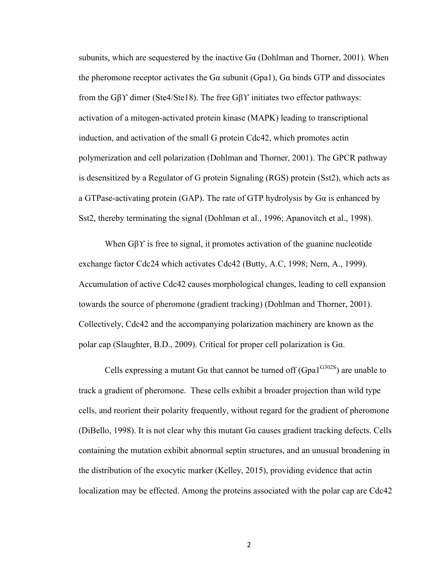subunits, which are sequestered by the inactive  $Ga$  (Dohlman and Thorner, 2001). When the pheromone receptor activates the G $\alpha$  subunit (Gpa1), G $\alpha$  binds GTP and dissociates from the Gβϒ dimer (Ste4/Ste18). The free Gβϒ initiates two effector pathways: activation of a mitogen-activated protein kinase (MAPK) leading to transcriptional induction, and activation of the small G protein Cdc42, which promotes actin polymerization and cell polarization (Dohlman and Thorner, 2001). The GPCR pathway is desensitized by a Regulator of G protein Signaling (RGS) protein (Sst2), which acts as a GTPase-activating protein (GAP). The rate of GTP hydrolysis by Gα is enhanced by Sst2, thereby terminating the signal (Dohlman et al., 1996; Apanovitch et al., 1998).

When Gβϒ is free to signal, it promotes activation of the guanine nucleotide exchange factor Cdc24 which activates Cdc42 (Butty, A.C, 1998; Nern, A., 1999). Accumulation of active Cdc42 causes morphological changes, leading to cell expansion towards the source of pheromone (gradient tracking) (Dohlman and Thorner, 2001). Collectively, Cdc42 and the accompanying polarization machinery are known as the polar cap (Slaughter, B.D., 2009). Critical for proper cell polarization is Gα.

Cells expressing a mutant G $\alpha$  that cannot be turned off (Gpa1<sup>G302S</sup>) are unable to track a gradient of pheromone. These cells exhibit a broader projection than wild type cells, and reorient their polarity frequently, without regard for the gradient of pheromone (DiBello, 1998). It is not clear why this mutant  $Ga$  causes gradient tracking defects. Cells containing the mutation exhibit abnormal septin structures, and an unusual broadening in the distribution of the exocytic marker (Kelley, 2015), providing evidence that actin localization may be effected. Among the proteins associated with the polar cap are Cdc42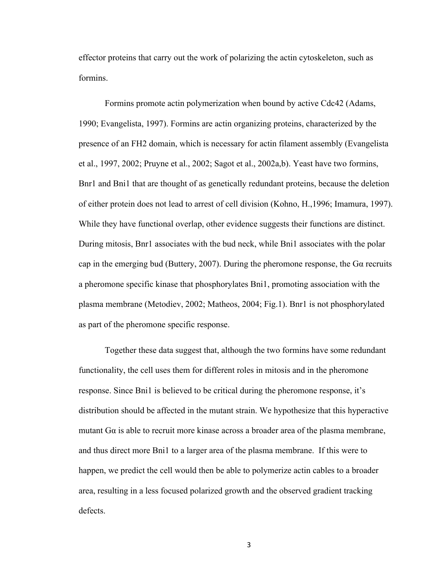effector proteins that carry out the work of polarizing the actin cytoskeleton, such as formins.

Formins promote actin polymerization when bound by active Cdc42 (Adams, 1990; Evangelista, 1997). Formins are actin organizing proteins, characterized by the presence of an FH2 domain, which is necessary for actin filament assembly (Evangelista et al., 1997, 2002; Pruyne et al., 2002; Sagot et al., 2002a,b). Yeast have two formins, Bnr1 and Bni1 that are thought of as genetically redundant proteins, because the deletion of either protein does not lead to arrest of cell division (Kohno, H.,1996; Imamura, 1997). While they have functional overlap, other evidence suggests their functions are distinct. During mitosis, Bnr1 associates with the bud neck, while Bni1 associates with the polar cap in the emerging bud (Buttery, 2007). During the pheromone response, the Gα recruits a pheromone specific kinase that phosphorylates Bni1, promoting association with the plasma membrane (Metodiev, 2002; Matheos, 2004; Fig.1). Bnr1 is not phosphorylated as part of the pheromone specific response.

Together these data suggest that, although the two formins have some redundant functionality, the cell uses them for different roles in mitosis and in the pheromone response. Since Bni1 is believed to be critical during the pheromone response, it's distribution should be affected in the mutant strain. We hypothesize that this hyperactive mutant  $Ga$  is able to recruit more kinase across a broader area of the plasma membrane, and thus direct more Bni1 to a larger area of the plasma membrane. If this were to happen, we predict the cell would then be able to polymerize actin cables to a broader area, resulting in a less focused polarized growth and the observed gradient tracking defects.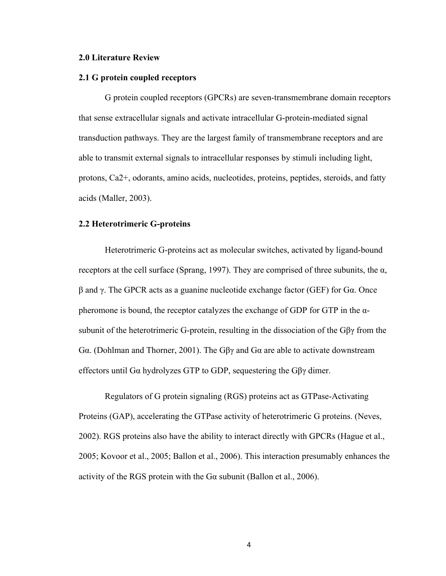#### **2.0 Literature Review**

#### **2.1 G protein coupled receptors**

G protein coupled receptors (GPCRs) are seven-transmembrane domain receptors that sense extracellular signals and activate intracellular G-protein-mediated signal transduction pathways. They are the largest family of transmembrane receptors and are able to transmit external signals to intracellular responses by stimuli including light, protons, Ca2+, odorants, amino acids, nucleotides, proteins, peptides, steroids, and fatty acids (Maller, 2003).

## **2.2 Heterotrimeric G-proteins**

Heterotrimeric G-proteins act as molecular switches, activated by ligand-bound receptors at the cell surface (Sprang, 1997). They are comprised of three subunits, the α, β and γ. The GPCR acts as a guanine nucleotide exchange factor (GEF) for Gα. Once pheromone is bound, the receptor catalyzes the exchange of GDP for GTP in the  $\alpha$ subunit of the heterotrimeric G-protein, resulting in the dissociation of the  $G\beta\gamma$  from the Gα. (Dohlman and Thorner, 2001). The Gβγ and Gα are able to activate downstream effectors until Gα hydrolyzes GTP to GDP, sequestering the Gβγ dimer.

Regulators of G protein signaling (RGS) proteins act as GTPase-Activating Proteins (GAP), accelerating the GTPase activity of heterotrimeric G proteins. (Neves, 2002). RGS proteins also have the ability to interact directly with GPCRs (Hague et al., 2005; Kovoor et al., 2005; Ballon et al., 2006). This interaction presumably enhances the activity of the RGS protein with the Gα subunit (Ballon et al., 2006).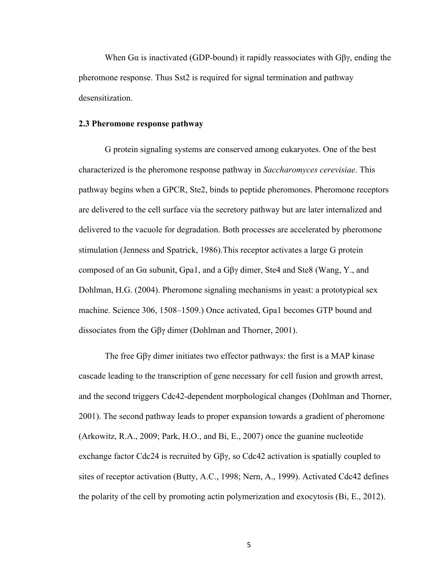When G $\alpha$  is inactivated (GDP-bound) it rapidly reassociates with G $\beta\gamma$ , ending the pheromone response. Thus Sst2 is required for signal termination and pathway desensitization.

### **2.3 Pheromone response pathway**

G protein signaling systems are conserved among eukaryotes. One of the best characterized is the pheromone response pathway in *Saccharomyces cerevisiae*. This pathway begins when a GPCR, Ste2, binds to peptide pheromones. Pheromone receptors are delivered to the cell surface via the secretory pathway but are later internalized and delivered to the vacuole for degradation. Both processes are accelerated by pheromone stimulation (Jenness and Spatrick, 1986).This receptor activates a large G protein composed of an Gα subunit, Gpa1, and a Gβγ dimer, Ste4 and Ste8 (Wang, Y., and Dohlman, H.G. (2004). Pheromone signaling mechanisms in yeast: a prototypical sex machine. Science 306, 1508–1509.) Once activated, Gpa1 becomes GTP bound and dissociates from the Gβγ dimer (Dohlman and Thorner, 2001).

The free Gβγ dimer initiates two effector pathways: the first is a MAP kinase cascade leading to the transcription of gene necessary for cell fusion and growth arrest, and the second triggers Cdc42-dependent morphological changes (Dohlman and Thorner, 2001). The second pathway leads to proper expansion towards a gradient of pheromone (Arkowitz, R.A., 2009; Park, H.O., and Bi, E., 2007) once the guanine nucleotide exchange factor Cdc24 is recruited by  $G\beta\gamma$ , so Cdc42 activation is spatially coupled to sites of receptor activation (Butty, A.C., 1998; Nern, A., 1999). Activated Cdc42 defines the polarity of the cell by promoting actin polymerization and exocytosis (Bi, E., 2012).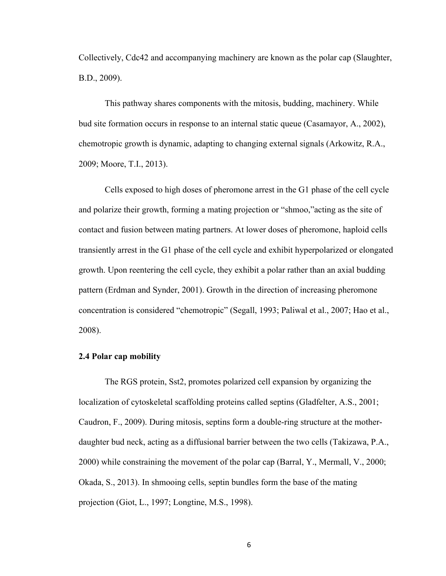Collectively, Cdc42 and accompanying machinery are known as the polar cap (Slaughter, B.D., 2009).

This pathway shares components with the mitosis, budding, machinery. While bud site formation occurs in response to an internal static queue (Casamayor, A., 2002), chemotropic growth is dynamic, adapting to changing external signals (Arkowitz, R.A., 2009; Moore, T.I., 2013).

Cells exposed to high doses of pheromone arrest in the G1 phase of the cell cycle and polarize their growth, forming a mating projection or "shmoo,"acting as the site of contact and fusion between mating partners. At lower doses of pheromone, haploid cells transiently arrest in the G1 phase of the cell cycle and exhibit hyperpolarized or elongated growth. Upon reentering the cell cycle, they exhibit a polar rather than an axial budding pattern (Erdman and Synder, 2001). Growth in the direction of increasing pheromone concentration is considered "chemotropic" (Segall, 1993; Paliwal et al., 2007; Hao et al., 2008).

## **2.4 Polar cap mobility**

The RGS protein, Sst2, promotes polarized cell expansion by organizing the localization of cytoskeletal scaffolding proteins called septins (Gladfelter, A.S., 2001; Caudron, F., 2009). During mitosis, septins form a double-ring structure at the motherdaughter bud neck, acting as a diffusional barrier between the two cells (Takizawa, P.A., 2000) while constraining the movement of the polar cap (Barral, Y., Mermall, V., 2000; Okada, S., 2013). In shmooing cells, septin bundles form the base of the mating projection (Giot, L., 1997; Longtine, M.S., 1998).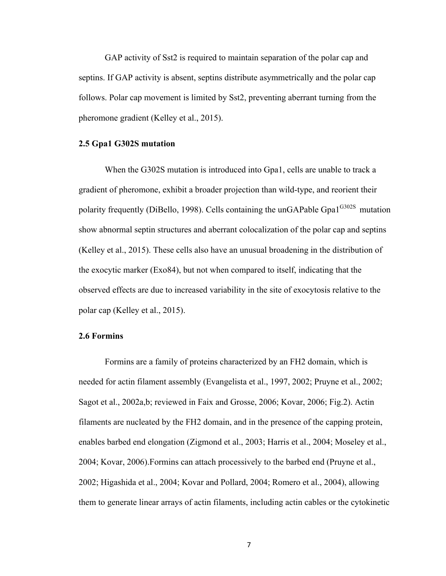GAP activity of Sst2 is required to maintain separation of the polar cap and septins. If GAP activity is absent, septins distribute asymmetrically and the polar cap follows. Polar cap movement is limited by Sst2, preventing aberrant turning from the pheromone gradient (Kelley et al., 2015).

## **2.5 Gpa1 G302S mutation**

When the G302S mutation is introduced into Gpa1, cells are unable to track a gradient of pheromone, exhibit a broader projection than wild-type, and reorient their polarity frequently (DiBello, 1998). Cells containing the unGAPable Gpa $1^{G302S}$  mutation show abnormal septin structures and aberrant colocalization of the polar cap and septins (Kelley et al., 2015). These cells also have an unusual broadening in the distribution of the exocytic marker (Exo84), but not when compared to itself, indicating that the observed effects are due to increased variability in the site of exocytosis relative to the polar cap (Kelley et al., 2015).

#### **2.6 Formins**

Formins are a family of proteins characterized by an FH2 domain, which is needed for actin filament assembly (Evangelista et al., 1997, 2002; Pruyne et al., 2002; Sagot et al., 2002a,b; reviewed in Faix and Grosse, 2006; Kovar, 2006; Fig.2). Actin filaments are nucleated by the FH2 domain, and in the presence of the capping protein, enables barbed end elongation (Zigmond et al., 2003; Harris et al., 2004; Moseley et al., 2004; Kovar, 2006).Formins can attach processively to the barbed end (Pruyne et al., 2002; Higashida et al., 2004; Kovar and Pollard, 2004; Romero et al., 2004), allowing them to generate linear arrays of actin filaments, including actin cables or the cytokinetic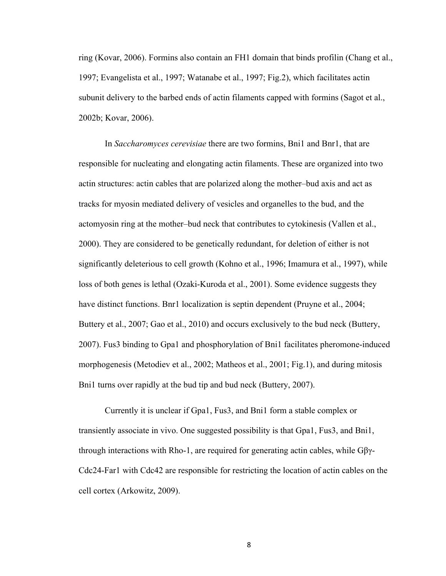ring (Kovar, 2006). Formins also contain an FH1 domain that binds profilin (Chang et al., 1997; Evangelista et al., 1997; Watanabe et al., 1997; Fig.2), which facilitates actin subunit delivery to the barbed ends of actin filaments capped with formins (Sagot et al., 2002b; Kovar, 2006).

In *Saccharomyces cerevisiae* there are two formins, Bni1 and Bnr1, that are responsible for nucleating and elongating actin filaments. These are organized into two actin structures: actin cables that are polarized along the mother–bud axis and act as tracks for myosin mediated delivery of vesicles and organelles to the bud, and the actomyosin ring at the mother–bud neck that contributes to cytokinesis (Vallen et al., 2000). They are considered to be genetically redundant, for deletion of either is not significantly deleterious to cell growth (Kohno et al., 1996; Imamura et al., 1997), while loss of both genes is lethal (Ozaki-Kuroda et al., 2001). Some evidence suggests they have distinct functions. Bnr1 localization is septin dependent (Pruyne et al., 2004; Buttery et al., 2007; Gao et al., 2010) and occurs exclusively to the bud neck (Buttery, 2007). Fus3 binding to Gpa1 and phosphorylation of Bni1 facilitates pheromone-induced morphogenesis (Metodiev et al., 2002; Matheos et al., 2001; Fig.1), and during mitosis Bni1 turns over rapidly at the bud tip and bud neck (Buttery, 2007).

Currently it is unclear if Gpa1, Fus3, and Bni1 form a stable complex or transiently associate in vivo. One suggested possibility is that Gpa1, Fus3, and Bni1, through interactions with Rho-1, are required for generating actin cables, while Gβγ-Cdc24-Far1 with Cdc42 are responsible for restricting the location of actin cables on the cell cortex (Arkowitz, 2009).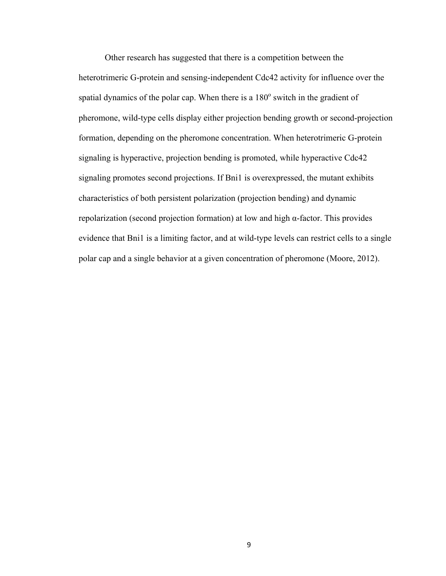Other research has suggested that there is a competition between the heterotrimeric G-protein and sensing-independent Cdc42 activity for influence over the spatial dynamics of the polar cap. When there is a  $180^\circ$  switch in the gradient of pheromone, wild-type cells display either projection bending growth or second-projection formation, depending on the pheromone concentration. When heterotrimeric G-protein signaling is hyperactive, projection bending is promoted, while hyperactive Cdc42 signaling promotes second projections. If Bni1 is overexpressed, the mutant exhibits characteristics of both persistent polarization (projection bending) and dynamic repolarization (second projection formation) at low and high α-factor. This provides evidence that Bni1 is a limiting factor, and at wild-type levels can restrict cells to a single polar cap and a single behavior at a given concentration of pheromone (Moore, 2012).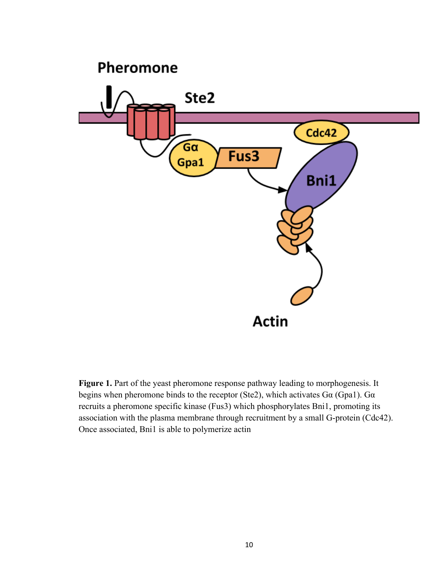

Figure 1. Part of the yeast pheromone response pathway leading to morphogenesis. It begins when pheromone binds to the receptor (Ste2), which activates Gα (Gpa1). Gα recruits a pheromone specific kinase (Fus3) which phosphorylates Bni1, promoting its association with the plasma membrane through recruitment by a small G-protein (Cdc42). Once associated, Bni1 is able to polymerize actin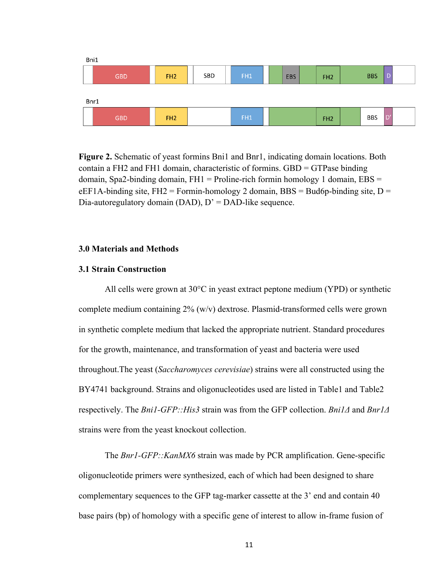

**Figure 2.** Schematic of yeast formins Bni1 and Bnr1, indicating domain locations. Both contain a FH2 and FH1 domain, characteristic of formins. GBD = GTPase binding domain, Spa2-binding domain,  $FH1 =$  Proline-rich formin homology 1 domain,  $EBS =$ eEF1A-binding site, FH2 = Formin-homology 2 domain, BBS = Bud6p-binding site,  $D =$ Dia-autoregulatory domain (DAD),  $D' = DAD$ -like sequence.

## **3.0 Materials and Methods**

# **3.1 Strain Construction**

All cells were grown at 30°C in yeast extract peptone medium (YPD) or synthetic complete medium containing 2% (w/v) dextrose. Plasmid-transformed cells were grown in synthetic complete medium that lacked the appropriate nutrient. Standard procedures for the growth, maintenance, and transformation of yeast and bacteria were used throughout.The yeast (*Saccharomyces cerevisiae*) strains were all constructed using the BY4741 background. Strains and oligonucleotides used are listed in Table1 and Table2 respectively. The *Bni1-GFP::His3* strain was from the GFP collection. *Bni1Δ* and *Bnr1Δ* strains were from the yeast knockout collection.

The *Bnr1-GFP::KanMX6* strain was made by PCR amplification. Gene-specific oligonucleotide primers were synthesized, each of which had been designed to share complementary sequences to the GFP tag-marker cassette at the 3' end and contain 40 base pairs (bp) of homology with a specific gene of interest to allow in-frame fusion of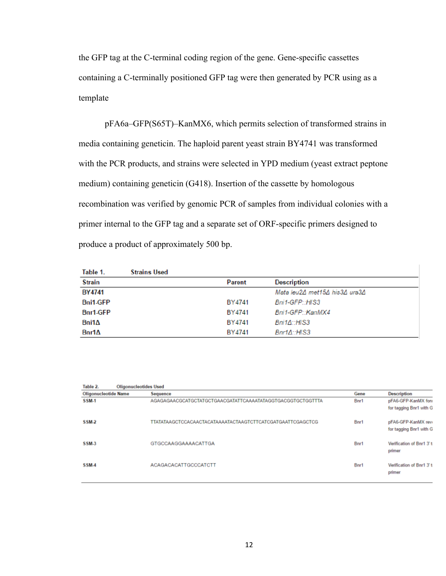the GFP tag at the C-terminal coding region of the gene. Gene-specific cassettes containing a C-terminally positioned GFP tag were then generated by PCR using as a template

pFA6a–GFP(S65T)–KanMX6, which permits selection of transformed strains in media containing geneticin. The haploid parent yeast strain BY4741 was transformed with the PCR products, and strains were selected in YPD medium (yeast extract peptone medium) containing geneticin (G418). Insertion of the cassette by homologous recombination was verified by genomic PCR of samples from individual colonies with a primer internal to the GFP tag and a separate set of ORF-specific primers designed to produce a product of approximately 500 bp.

| Table 1.        | <b>Strains Used</b> |               |                               |
|-----------------|---------------------|---------------|-------------------------------|
| <b>Strain</b>   |                     | <b>Parent</b> | <b>Description</b>            |
| <b>BY4741</b>   |                     |               | Mata leu2∆ met15∆ his3∆ ura3∆ |
| <b>Bni1-GFP</b> |                     | BY4741        | Bni1-GFP::HIS3                |
| Bnr1-GFP        |                     | BY4741        | Bni1-GFP::KanMX4              |
| Bni1∆           |                     | BY4741        | $Bni1\Delta$ ::HIS3           |
| $Bnr1\Delta$    |                     | BY4741        | $Bnr1\Delta:H$ S3             |

| Table 2.<br><b>Oligonucleotides Used</b> |  |                                                            |      |                                               |  |  |
|------------------------------------------|--|------------------------------------------------------------|------|-----------------------------------------------|--|--|
| <b>Oligonucleotide Name</b>              |  | <b>Sequence</b>                                            | Gene | <b>Description</b>                            |  |  |
| <b>SSM-1</b>                             |  | AGAGAGAACGCATGCTATGCTGAACGATATTCAAAATATAGGTGACGGTGCTGGTTTA | Bnr1 | pFA6-GFP-KanMX fon<br>for tagging Bnr1 with G |  |  |
| SSM-2                                    |  | TTATATAAGCTCCACAACTACATAAAATACTAAGTCTTCATCGATGAATTCGAGCTCG | Bnr1 | pFA6-GFP-KanMX rev<br>for tagging Bnr1 with G |  |  |
| <b>SSM-3</b>                             |  | <b>GTGCCAAGGAAAACATTGA</b>                                 | Bnr1 | Verification of Bnr1 3't<br>primer            |  |  |
| SSM <sub>4</sub>                         |  | <b>ACAGACACATTGCCCATCTT</b>                                | Bnr1 | Verification of Bnr1 3't<br>primer            |  |  |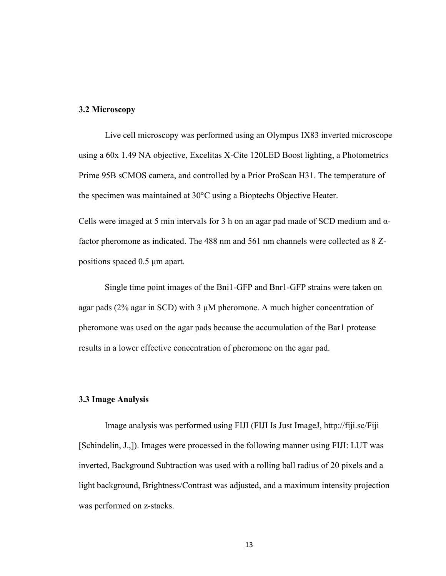## **3.2 Microscopy**

Live cell microscopy was performed using an Olympus IX83 inverted microscope using a 60x 1.49 NA objective, Excelitas X-Cite 120LED Boost lighting, a Photometrics Prime 95B sCMOS camera, and controlled by a Prior ProScan H31. The temperature of the specimen was maintained at 30°C using a Bioptechs Objective Heater.

Cells were imaged at 5 min intervals for 3 h on an agar pad made of SCD medium and  $α$ factor pheromone as indicated. The 488 nm and 561 nm channels were collected as 8 Zpositions spaced 0.5 µm apart.

Single time point images of the Bni1-GFP and Bnr1-GFP strains were taken on agar pads (2% agar in SCD) with 3 µM pheromone. A much higher concentration of pheromone was used on the agar pads because the accumulation of the Bar1 protease results in a lower effective concentration of pheromone on the agar pad.

## **3.3 Image Analysis**

Image analysis was performed using FIJI (FIJI Is Just ImageJ, http://fiji.sc/Fiji [Schindelin, J.,]). Images were processed in the following manner using FIJI: LUT was inverted, Background Subtraction was used with a rolling ball radius of 20 pixels and a light background, Brightness/Contrast was adjusted, and a maximum intensity projection was performed on z-stacks.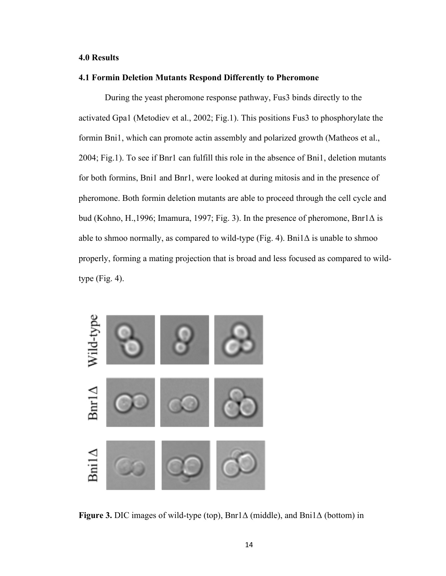## **4.0 Results**

## **4.1 Formin Deletion Mutants Respond Differently to Pheromone**

During the yeast pheromone response pathway, Fus3 binds directly to the activated Gpa1 (Metodiev et al., 2002; Fig.1). This positions Fus3 to phosphorylate the formin Bni1, which can promote actin assembly and polarized growth (Matheos et al., 2004; Fig.1). To see if Bnr1 can fulfill this role in the absence of Bni1, deletion mutants for both formins, Bni1 and Bnr1, were looked at during mitosis and in the presence of pheromone. Both formin deletion mutants are able to proceed through the cell cycle and bud (Kohno, H.,1996; Imamura, 1997; Fig. 3). In the presence of pheromone, Bnr1Δ is able to shmoo normally, as compared to wild-type (Fig. 4). Bni $1\Delta$  is unable to shmoo properly, forming a mating projection that is broad and less focused as compared to wildtype  $(Fig. 4)$ .



**Figure 3.** DIC images of wild-type (top), Bnr1Δ (middle), and Bni1Δ (bottom) in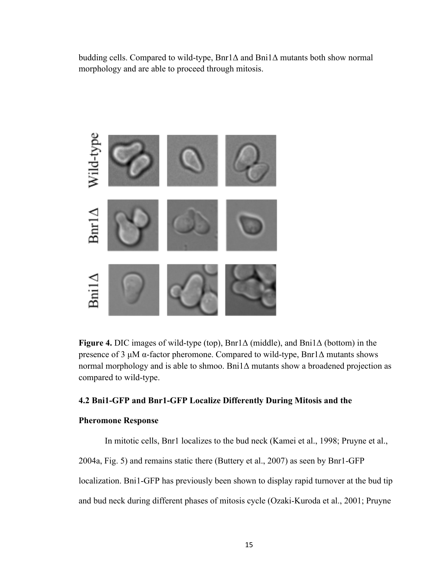budding cells. Compared to wild-type, Bnr1Δ and Bni1Δ mutants both show normal morphology and are able to proceed through mitosis.



**Figure 4.** DIC images of wild-type (top), Bnr1Δ (middle), and Bni1Δ (bottom) in the presence of 3 µM α-factor pheromone. Compared to wild-type, Bnr1Δ mutants shows normal morphology and is able to shmoo. Bni1Δ mutants show a broadened projection as compared to wild-type.

# **4.2 Bni1-GFP and Bnr1-GFP Localize Differently During Mitosis and the**

# **Pheromone Response**

In mitotic cells, Bnr1 localizes to the bud neck (Kamei et al., 1998; Pruyne et al.,

2004a, Fig. 5) and remains static there (Buttery et al., 2007) as seen by Bnr1-GFP

localization. Bni1-GFP has previously been shown to display rapid turnover at the bud tip

and bud neck during different phases of mitosis cycle (Ozaki-Kuroda et al., 2001; Pruyne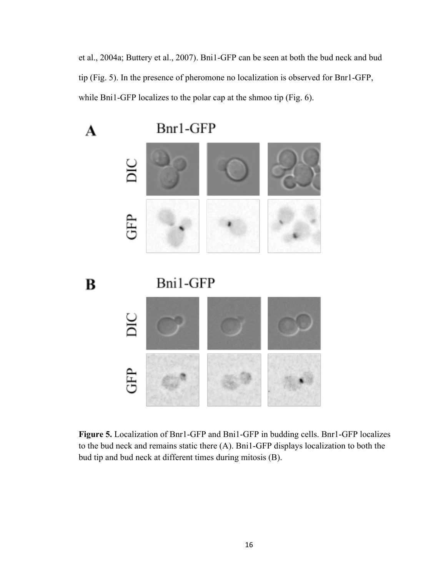et al., 2004a; Buttery et al., 2007). Bni1-GFP can be seen at both the bud neck and bud tip (Fig. 5). In the presence of pheromone no localization is observed for Bnr1-GFP, while Bni1-GFP localizes to the polar cap at the shmoo tip (Fig. 6).



**Figure 5.** Localization of Bnr1-GFP and Bni1-GFP in budding cells. Bnr1-GFP localizes to the bud neck and remains static there (A). Bni1-GFP displays localization to both the bud tip and bud neck at different times during mitosis (B).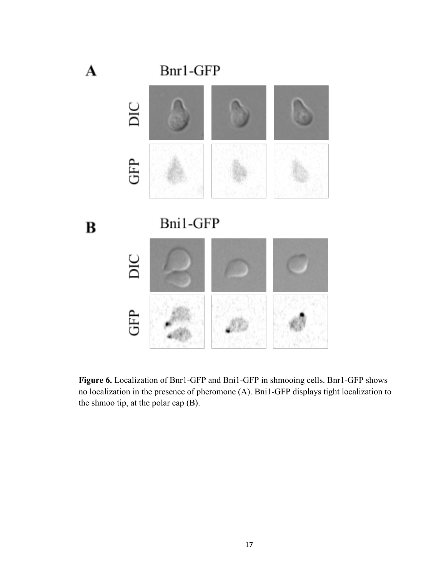

**Figure 6.** Localization of Bnr1-GFP and Bni1-GFP in shmooing cells. Bnr1-GFP shows no localization in the presence of pheromone (A). Bni1-GFP displays tight localization to the shmoo tip, at the polar cap (B).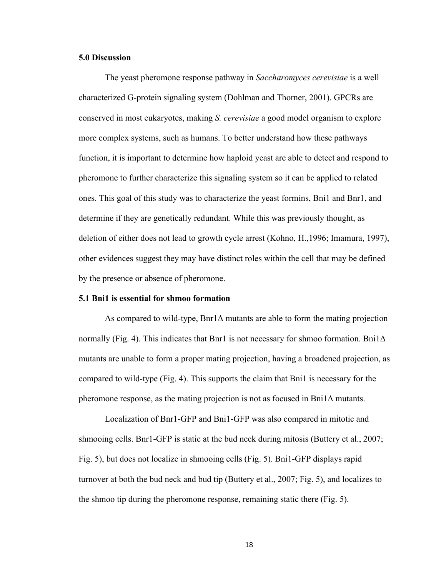## **5.0 Discussion**

The yeast pheromone response pathway in *Saccharomyces cerevisiae* is a well characterized G-protein signaling system (Dohlman and Thorner, 2001). GPCRs are conserved in most eukaryotes, making *S. cerevisiae* a good model organism to explore more complex systems, such as humans. To better understand how these pathways function, it is important to determine how haploid yeast are able to detect and respond to pheromone to further characterize this signaling system so it can be applied to related ones. This goal of this study was to characterize the yeast formins, Bni1 and Bnr1, and determine if they are genetically redundant. While this was previously thought, as deletion of either does not lead to growth cycle arrest (Kohno, H.,1996; Imamura, 1997), other evidences suggest they may have distinct roles within the cell that may be defined by the presence or absence of pheromone.

#### **5.1 Bni1 is essential for shmoo formation**

As compared to wild-type,  $Bn\eta\Delta$  mutants are able to form the mating projection normally (Fig. 4). This indicates that Bnr1 is not necessary for shmoo formation. Bni $1\Delta$ mutants are unable to form a proper mating projection, having a broadened projection, as compared to wild-type (Fig. 4). This supports the claim that Bni1 is necessary for the pheromone response, as the mating projection is not as focused in Bni $1\Delta$  mutants.

Localization of Bnr1-GFP and Bni1-GFP was also compared in mitotic and shmooing cells. Bnr1-GFP is static at the bud neck during mitosis (Buttery et al., 2007; Fig. 5), but does not localize in shmooing cells (Fig. 5). Bni1-GFP displays rapid turnover at both the bud neck and bud tip (Buttery et al., 2007; Fig. 5), and localizes to the shmoo tip during the pheromone response, remaining static there (Fig. 5).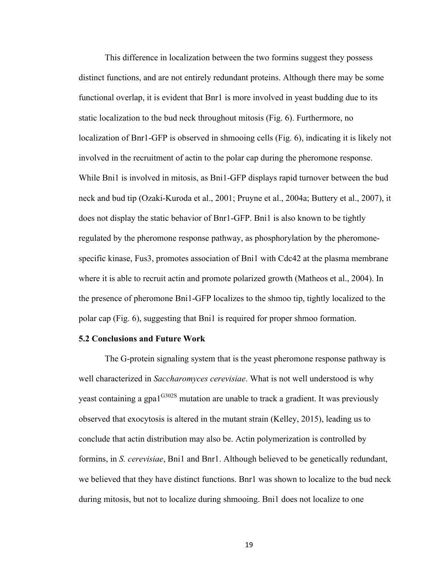This difference in localization between the two formins suggest they possess distinct functions, and are not entirely redundant proteins. Although there may be some functional overlap, it is evident that Bnr1 is more involved in yeast budding due to its static localization to the bud neck throughout mitosis (Fig. 6). Furthermore, no localization of Bnr1-GFP is observed in shmooing cells (Fig. 6), indicating it is likely not involved in the recruitment of actin to the polar cap during the pheromone response. While Bni1 is involved in mitosis, as Bni1-GFP displays rapid turnover between the bud neck and bud tip (Ozaki-Kuroda et al., 2001; Pruyne et al., 2004a; Buttery et al., 2007), it does not display the static behavior of Bnr1-GFP. Bni1 is also known to be tightly regulated by the pheromone response pathway, as phosphorylation by the pheromonespecific kinase, Fus3, promotes association of Bni1 with Cdc42 at the plasma membrane where it is able to recruit actin and promote polarized growth (Matheos et al., 2004). In the presence of pheromone Bni1-GFP localizes to the shmoo tip, tightly localized to the polar cap (Fig. 6), suggesting that Bni1 is required for proper shmoo formation.

#### **5.2 Conclusions and Future Work**

The G-protein signaling system that is the yeast pheromone response pathway is well characterized in *Saccharomyces cerevisiae*. What is not well understood is why yeast containing a gpa1<sup>G302S</sup> mutation are unable to track a gradient. It was previously observed that exocytosis is altered in the mutant strain (Kelley, 2015), leading us to conclude that actin distribution may also be. Actin polymerization is controlled by formins, in *S. cerevisiae*, Bni1 and Bnr1. Although believed to be genetically redundant, we believed that they have distinct functions. Bnr1 was shown to localize to the bud neck during mitosis, but not to localize during shmooing. Bni1 does not localize to one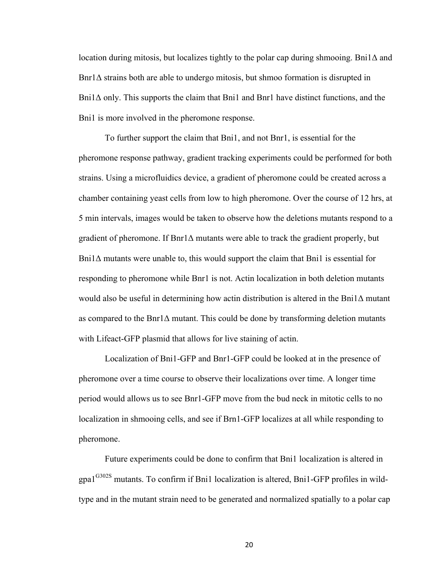location during mitosis, but localizes tightly to the polar cap during shmooing. Bni1Δ and  $B\text{ln}1\Delta$  strains both are able to undergo mitosis, but shmoo formation is disrupted in Bni1Δ only. This supports the claim that Bni1 and Bnr1 have distinct functions, and the Bni1 is more involved in the pheromone response.

To further support the claim that Bni1, and not Bnr1, is essential for the pheromone response pathway, gradient tracking experiments could be performed for both strains. Using a microfluidics device, a gradient of pheromone could be created across a chamber containing yeast cells from low to high pheromone. Over the course of 12 hrs, at 5 min intervals, images would be taken to observe how the deletions mutants respond to a gradient of pheromone. If Bnr1Δ mutants were able to track the gradient properly, but  $\text{Bni1}\Delta$  mutants were unable to, this would support the claim that  $\text{Bni1}$  is essential for responding to pheromone while Bnr1 is not. Actin localization in both deletion mutants would also be useful in determining how actin distribution is altered in the Bni1∆ mutant as compared to the Bnr1 $\Delta$  mutant. This could be done by transforming deletion mutants with Lifeact-GFP plasmid that allows for live staining of actin.

Localization of Bni1-GFP and Bnr1-GFP could be looked at in the presence of pheromone over a time course to observe their localizations over time. A longer time period would allows us to see Bnr1-GFP move from the bud neck in mitotic cells to no localization in shmooing cells, and see if Brn1-GFP localizes at all while responding to pheromone.

Future experiments could be done to confirm that Bni1 localization is altered in gpa1<sup>G302S</sup> mutants. To confirm if Bni1 localization is altered, Bni1-GFP profiles in wildtype and in the mutant strain need to be generated and normalized spatially to a polar cap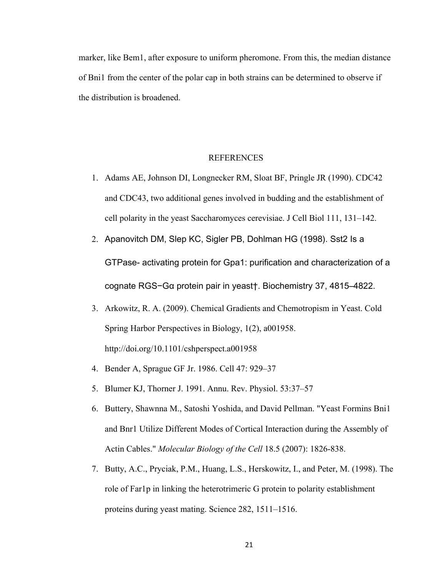marker, like Bem1, after exposure to uniform pheromone. From this, the median distance of Bni1 from the center of the polar cap in both strains can be determined to observe if the distribution is broadened.

## REFERENCES

- 1. Adams AE, Johnson DI, Longnecker RM, Sloat BF, Pringle JR (1990). CDC42 and CDC43, two additional genes involved in budding and the establishment of cell polarity in the yeast Saccharomyces cerevisiae. J Cell Biol 111, 131–142.
- 2. Apanovitch DM, Slep KC, Sigler PB, Dohlman HG (1998). Sst2 Is a GTPase- activating protein for Gpa1: purification and characterization of a cognate RGS−Gα protein pair in yeast†. Biochemistry 37, 4815–4822.
- 3. Arkowitz, R. A. (2009). Chemical Gradients and Chemotropism in Yeast. Cold Spring Harbor Perspectives in Biology, 1(2), a001958. http://doi.org/10.1101/cshperspect.a001958
- 4. Bender A, Sprague GF Jr. 1986. Cell 47: 929–37
- 5. Blumer KJ, Thorner J. 1991. Annu. Rev. Physiol. 53:37–57
- 6. Buttery, Shawnna M., Satoshi Yoshida, and David Pellman. "Yeast Formins Bni1 and Bnr1 Utilize Different Modes of Cortical Interaction during the Assembly of Actin Cables." *Molecular Biology of the Cell* 18.5 (2007): 1826-838.
- 7. Butty, A.C., Pryciak, P.M., Huang, L.S., Herskowitz, I., and Peter, M. (1998). The role of Far1p in linking the heterotrimeric G protein to polarity establishment proteins during yeast mating. Science 282, 1511–1516.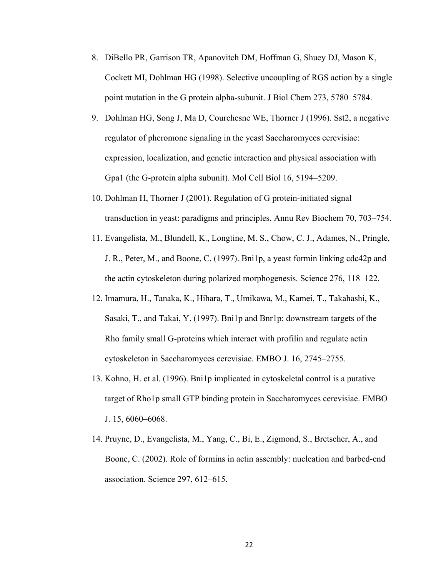- 8. DiBello PR, Garrison TR, Apanovitch DM, Hoffman G, Shuey DJ, Mason K, Cockett MI, Dohlman HG (1998). Selective uncoupling of RGS action by a single point mutation in the G protein alpha-subunit. J Biol Chem 273, 5780–5784.
- 9. Dohlman HG, Song J, Ma D, Courchesne WE, Thorner J (1996). Sst2, a negative regulator of pheromone signaling in the yeast Saccharomyces cerevisiae: expression, localization, and genetic interaction and physical association with Gpa1 (the G-protein alpha subunit). Mol Cell Biol 16, 5194–5209.
- 10. Dohlman H, Thorner J (2001). Regulation of G protein-initiated signal transduction in yeast: paradigms and principles. Annu Rev Biochem 70, 703–754.
- 11. Evangelista, M., Blundell, K., Longtine, M. S., Chow, C. J., Adames, N., Pringle, J. R., Peter, M., and Boone, C. (1997). Bni1p, a yeast formin linking cdc42p and the actin cytoskeleton during polarized morphogenesis. Science 276, 118–122.
- 12. Imamura, H., Tanaka, K., Hihara, T., Umikawa, M., Kamei, T., Takahashi, K., Sasaki, T., and Takai, Y. (1997). Bni1p and Bnr1p: downstream targets of the Rho family small G-proteins which interact with profilin and regulate actin cytoskeleton in Saccharomyces cerevisiae. EMBO J. 16, 2745–2755.
- 13. Kohno, H. et al. (1996). Bni1p implicated in cytoskeletal control is a putative target of Rho1p small GTP binding protein in Saccharomyces cerevisiae. EMBO J. 15, 6060–6068.
- 14. Pruyne, D., Evangelista, M., Yang, C., Bi, E., Zigmond, S., Bretscher, A., and Boone, C. (2002). Role of formins in actin assembly: nucleation and barbed-end association. Science 297, 612–615.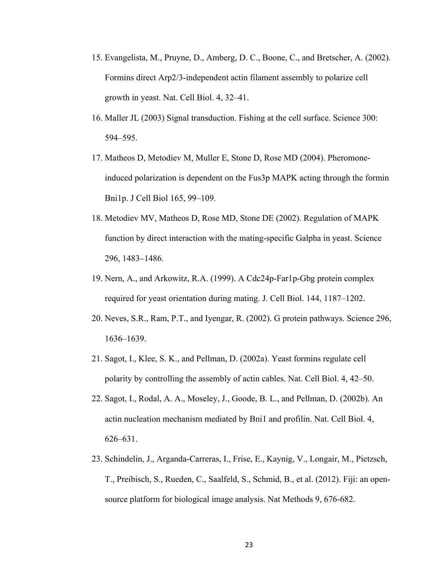- 15. Evangelista, M., Pruyne, D., Amberg, D. C., Boone, C., and Bretscher, A. (2002). Formins direct Arp2/3-independent actin filament assembly to polarize cell growth in yeast. Nat. Cell Biol. 4, 32–41.
- 16. Maller JL (2003) Signal transduction. Fishing at the cell surface. Science 300: 594–595.
- 17. Matheos D, Metodiev M, Muller E, Stone D, Rose MD (2004). Pheromoneinduced polarization is dependent on the Fus3p MAPK acting through the formin Bni1p. J Cell Biol 165, 99–109.
- 18. Metodiev MV, Matheos D, Rose MD, Stone DE (2002). Regulation of MAPK function by direct interaction with the mating-specific Galpha in yeast. Science 296, 1483–1486.
- 19. Nern, A., and Arkowitz, R.A. (1999). A Cdc24p-Far1p-Gbg protein complex required for yeast orientation during mating. J. Cell Biol. 144, 1187–1202.
- 20. Neves, S.R., Ram, P.T., and Iyengar, R. (2002). G protein pathways. Science 296, 1636–1639.
- 21. Sagot, I., Klee, S. K., and Pellman, D. (2002a). Yeast formins regulate cell polarity by controlling the assembly of actin cables. Nat. Cell Biol. 4, 42–50.
- 22. Sagot, I., Rodal, A. A., Moseley, J., Goode, B. L., and Pellman, D. (2002b). An actin nucleation mechanism mediated by Bni1 and profilin. Nat. Cell Biol. 4, 626–631.
- 23. Schindelin, J., Arganda-Carreras, I., Frise, E., Kaynig, V., Longair, M., Pietzsch, T., Preibisch, S., Rueden, C., Saalfeld, S., Schmid, B., et al. (2012). Fiji: an opensource platform for biological image analysis. Nat Methods 9, 676-682.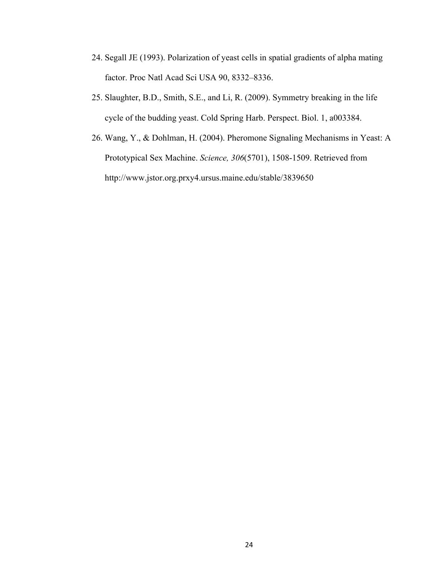- 24. Segall JE (1993). Polarization of yeast cells in spatial gradients of alpha mating factor. Proc Natl Acad Sci USA 90, 8332–8336.
- 25. Slaughter, B.D., Smith, S.E., and Li, R. (2009). Symmetry breaking in the life cycle of the budding yeast. Cold Spring Harb. Perspect. Biol. 1, a003384.
- 26. Wang, Y., & Dohlman, H. (2004). Pheromone Signaling Mechanisms in Yeast: A Prototypical Sex Machine. *Science, 306*(5701), 1508-1509. Retrieved from http://www.jstor.org.prxy4.ursus.maine.edu/stable/3839650